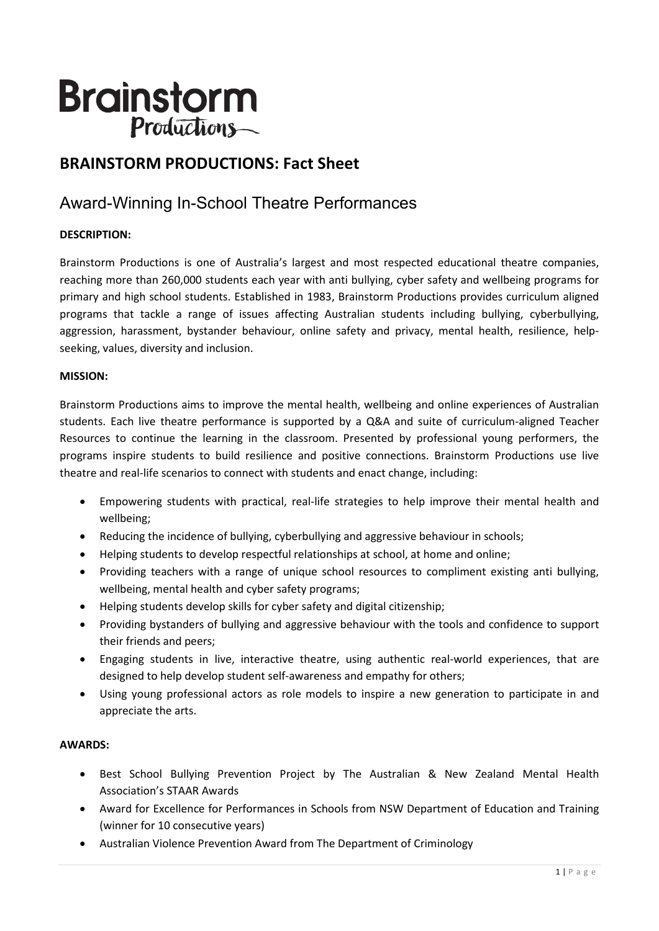# **Brainstorm** Productions-

## **BRAINSTORM PRODUCTIONS: Fact Sheet**

# Award-Winning In-School Theatre Performances

## **DESCRIPTION:**

Brainstorm Productions is one of Australia's largest and most respected educational theatre companies, reaching more than 260,000 students each year with anti bullying, cyber safety and wellbeing programs for primary and high school students. Established in 1983, Brainstorm Productions provides curriculum aligned programs that tackle a range of issues affecting Australian students including bullying, cyberbullying, aggression, harassment, bystander behaviour, online safety and privacy, mental health, resilience, helpseeking, values, diversity and inclusion.

#### **MISSION:**

Brainstorm Productions aims to improve the mental health, wellbeing and online experiences of Australian students. Each live theatre performance is supported by a Q&A and suite of curriculum-aligned Teacher Resources to continue the learning in the classroom. Presented by professional young performers, the programs inspire students to build resilience and positive connections. Brainstorm Productions use live theatre and real-life scenarios to connect with students and enact change, including:

- Empowering students with practical, real-life strategies to help improve their mental health and wellbeing;
- Reducing the incidence of bullying, cyberbullying and aggressive behaviour in schools;
- Helping students to develop respectful relationships at school, at home and online;
- Providing teachers with a range of unique school resources to compliment existing anti bullying, wellbeing, mental health and cyber safety programs;
- Helping students develop skills for cyber safety and digital citizenship;
- Providing bystanders of bullying and aggressive behaviour with the tools and confidence to support their friends and peers;
- Engaging students in live, interactive theatre, using authentic real-world experiences, that are designed to help develop student self-awareness and empathy for others;
- Using young professional actors as role models to inspire a new generation to participate in and appreciate the arts.

#### **AWARDS:**

- Best School Bullying Prevention Project by The Australian & New Zealand Mental Health Association's STAAR Awards
- Award for Excellence for Performances in Schools from NSW Department of Education and Training (winner for 10 consecutive years)
- Australian Violence Prevention Award from The Department of Criminology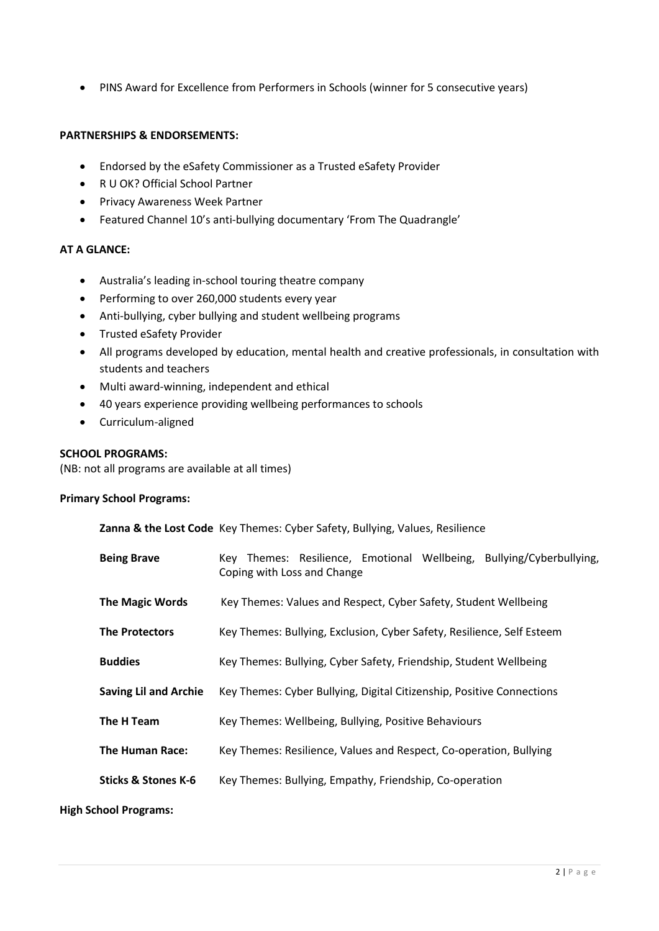• PINS Award for Excellence from Performers in Schools (winner for 5 consecutive years)

#### **PARTNERSHIPS & ENDORSEMENTS:**

- Endorsed by the eSafety Commissioner as a Trusted eSafety Provider
- R U OK? Official School Partner
- Privacy Awareness Week Partner
- Featured Channel 10's anti-bullying documentary 'From The Quadrangle'

#### **AT A GLANCE:**

- Australia's leading in-school touring theatre company
- Performing to over 260,000 students every year
- Anti-bullying, cyber bullying and student wellbeing programs
- Trusted eSafety Provider
- All programs developed by education, mental health and creative professionals, in consultation with students and teachers
- Multi award-winning, independent and ethical
- 40 years experience providing wellbeing performances to schools
- Curriculum-aligned

#### **SCHOOL PROGRAMS:**

(NB: not all programs are available at all times)

#### **Primary School Programs:**

|                                | Zanna & the Lost Code Key Themes: Cyber Safety, Bullying, Values, Resilience                        |
|--------------------------------|-----------------------------------------------------------------------------------------------------|
| <b>Being Brave</b>             | Key Themes: Resilience, Emotional Wellbeing, Bullying/Cyberbullying,<br>Coping with Loss and Change |
| <b>The Magic Words</b>         | Key Themes: Values and Respect, Cyber Safety, Student Wellbeing                                     |
| <b>The Protectors</b>          | Key Themes: Bullying, Exclusion, Cyber Safety, Resilience, Self Esteem                              |
| <b>Buddies</b>                 | Key Themes: Bullying, Cyber Safety, Friendship, Student Wellbeing                                   |
| <b>Saving Lil and Archie</b>   | Key Themes: Cyber Bullying, Digital Citizenship, Positive Connections                               |
| The H Team                     | Key Themes: Wellbeing, Bullying, Positive Behaviours                                                |
| <b>The Human Race:</b>         | Key Themes: Resilience, Values and Respect, Co-operation, Bullying                                  |
| <b>Sticks &amp; Stones K-6</b> | Key Themes: Bullying, Empathy, Friendship, Co-operation                                             |

**High School Programs:**